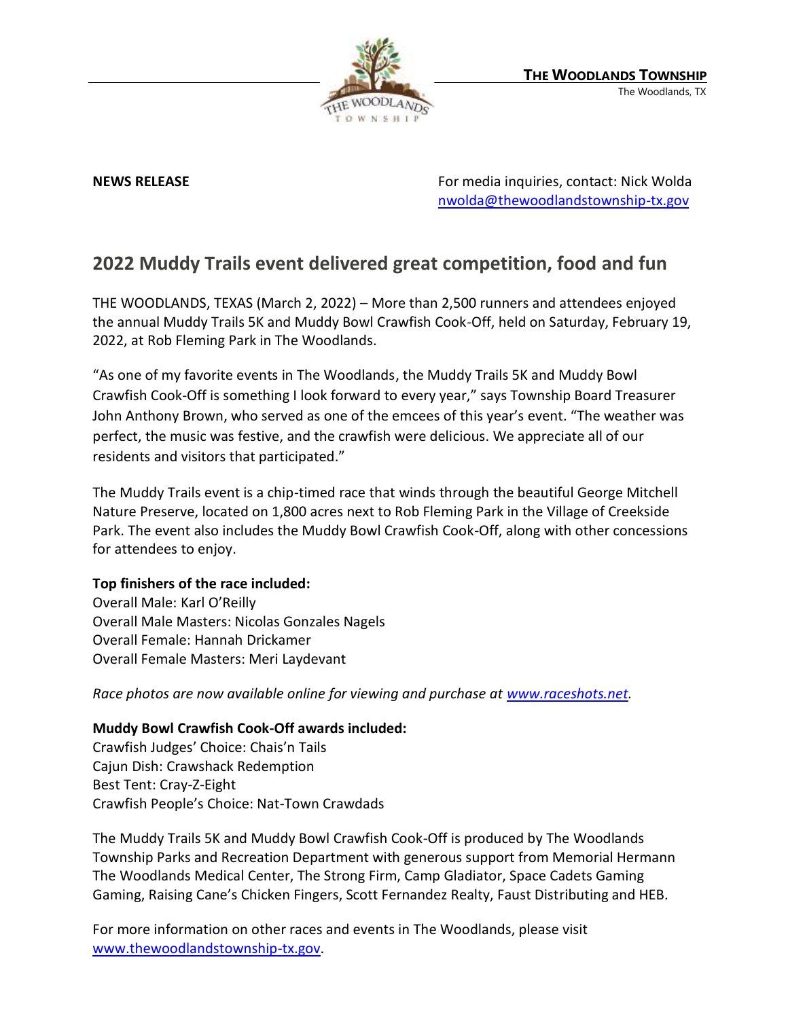

**NEWS RELEASE EXECUTE:** NEWS **RELEASE For media inquiries, contact: Nick Wolda** [nwolda@thewoodlandstownship-tx.gov](mailto:nwolda@thewoodlandstownship-tx.gov)

## **2022 Muddy Trails event delivered great competition, food and fun**

THE WOODLANDS, TEXAS (March 2, 2022) – More than 2,500 runners and attendees enjoyed the annual Muddy Trails 5K and Muddy Bowl Crawfish Cook-Off, held on Saturday, February 19, 2022, at Rob Fleming Park in The Woodlands.

"As one of my favorite events in The Woodlands, the Muddy Trails 5K and Muddy Bowl Crawfish Cook-Off is something I look forward to every year," says Township Board Treasurer John Anthony Brown, who served as one of the emcees of this year's event. "The weather was perfect, the music was festive, and the crawfish were delicious. We appreciate all of our residents and visitors that participated."

The Muddy Trails event is a chip-timed race that winds through the beautiful George Mitchell Nature Preserve, located on 1,800 acres next to Rob Fleming Park in the Village of Creekside Park. The event also includes the Muddy Bowl Crawfish Cook-Off, along with other concessions for attendees to enjoy.

## **Top finishers of the race included:**

Overall Male: Karl O'Reilly Overall Male Masters: Nicolas Gonzales Nagels Overall Female: Hannah Drickamer Overall Female Masters: Meri Laydevant

*Race photos are now available online for viewing and purchase at [www.raceshots.net.](http://www.raceshots.net/)*

## **Muddy Bowl Crawfish Cook-Off awards included:**

Crawfish Judges' Choice: Chais'n Tails Cajun Dish: Crawshack Redemption Best Tent: Cray-Z-Eight Crawfish People's Choice: Nat-Town Crawdads

The Muddy Trails 5K and Muddy Bowl Crawfish Cook-Off is produced by The Woodlands Township Parks and Recreation Department with generous support from Memorial Hermann The Woodlands Medical Center, The Strong Firm, Camp Gladiator, Space Cadets Gaming Gaming, Raising Cane's Chicken Fingers, Scott Fernandez Realty, Faust Distributing and HEB.

For more information on other races and events in The Woodlands, please visit [www.thewoodlandstownship-tx.gov.](http://www.thewoodlandstownship-tx.gov/)